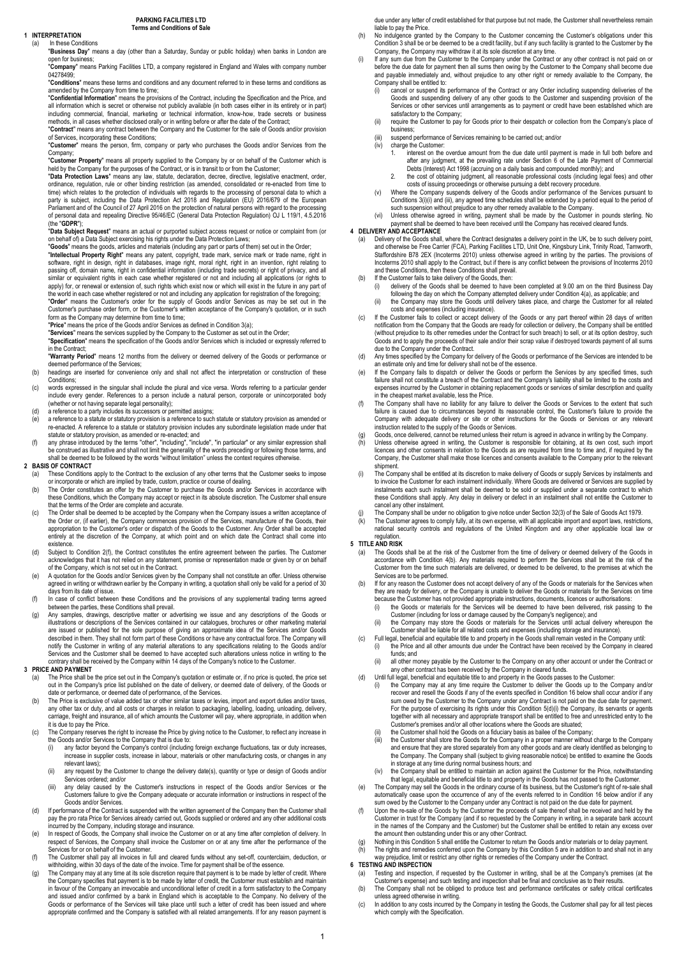#### 1 INTERPRETATION (a) In these Conditions

"Business Day" means a day (other than a Saturday, Sunday or public holiday) when banks in London are

open for business;<br>"**Company**" means Parking Facilities LTD, a company registered in England and Wales with company number 04278499;

"Conditions" means these terms and conditions and any document referred to in these terms and conditions as amended by the Company from time to time:

"Confidential Information" means the provisions of the Contract, including the Specification and the Price, and all information which is secret or otherwise not publicly available (in both cases either in its entirety or in part) including commercial, financial, marketing or technical information, know-how, trade secrets or business methods, in all cases whether disclosed orally or in writing before or after the date of the Contract; "Contract" means any contract between the Company and the Customer for the sale of Goods and/or provision of Services, incorporating these Conditions;

"Customer" means the person, firm, company or party who purchases the Goods and/or Services from the Company;

"Customer Property" means all property supplied to the Company by or on behalf of the Customer which is<br>held by the Company for the purposes of the Contract, or is in transit to or from the Customer;

"Data Protection Laws" means any law, statute, declaration, decree, directive, legislative enactment, order ordinance, regulation, rule or other binding restriction (as amended, consolidated or re-enacted from time to time) which relates to the protection of individuals with regards to the processing of personal data to which a party is subject, including the Data Protection Act 2018 and Regulation (EU) 2016/679 of the European Parliament and of the Council of 27 April 2016 on the protection of natural persons with regard to the processing of personal data and repealing Directive 95/46/EC (General Data Protection Regulation) OJ L 119/1, 4.5.2016<br>(the "GDPR"); "GDPR");

"Data Subject Request" means an actual or purported subject access request or notice or complaint from (or on behalf of) a Data Subject exercising his rights under the Data Protection Laws;

"**Goods**" means the goods, articles and materials (including any part or parts of them) set out in the Order;<br>"I**ntellectual Property Right**" means any patent, copyright, trade mark, service mark or trade name, right in software, right in design, right in databases, image right, moral right, right in an invention, right relating to<br>passing off, domain name, right in confidential information (including trade secrets) or right of privacy, a

apply) for, or renewal or extension of, such rights which exist now or which will exist in the future in any part of<br>the world in each case whether registered or not and including any application for registration of the fo form as the Company may determine from time to time:

"Price" means the price of the Goods and/or Services as defined in Condition 3(a);

"**Services**" means the services supplied by the Company to the Customer as set out in the Order;<br>"**Specification**" means the specification of the Goods and/or Services which is included or expressly referred to in the Contract; "Warranty Period" means 12 months from the delivery or deemed delivery of the Goods or performance or

deemed performance of the Services; (b) headings are inserted for convenience only and shall not affect the interpretation or construction of these

Conditions;

- (c) words expressed in the singular shall include the plural and vice versa. Words referring to a particular gender include every gender. References to a person include a natural person, corporate or unincorporated body
- (whether or not having separate legal personality); (d) a reference to a party includes its successors or permitted assigns;
- e) a reference to a statute or statutory provision is a reference to such statute or statutory provision as amended or<br>re-enacted. A reference to a statute or statutory provision includes any subordinate legislation made u
- (f) any phrase introduced by the terms "other", "including", "include", "in particular" or any similar expression shall<br>be construed as illustrative and shall not limit the generality of the words preceding or following th shall be deemed to be followed by the words "without limitation" unless the context requires otherwise.

# 2 BASIS OF CONTRACT

- a) These Conditions apply to the Contract to the exclusion of any other terms that the Customer seeks to impose<br>or incorporate or which are implied by trade, custom, practice or course of dealing.<br>The Order constitutes an
- these Conditions, which the Company may accept or reject in its absolute discretion. The Customer shall ensure that the terms of the Order are complete and accurate.
- (c) The Order shall be deemed to be accepted by the Company when the Company issues a written acceptance of the Order or, (if earlier), the Company commences provision of the Services, manufacture of the Goods, their appropriation to the Customer's order or dispatch of the Goods to the Customer. Any Order shall be accepted entirely at the discretion of the Company, at which point and on which date the Contract shall come into existence.
- (d) Subject to Condition 2(f), the Contract constitutes the entire agreement between the parties. The Customer acknowledges that it has not relied on any statement, promise or representation made or given by or on behalf of the Company, which is not set out in the Contract.
- (e) A quotation for the Goods and/or Services given by the Company shall not constitute an offer. Unless otherwise agreed in writing or withdrawn earlier by the Company in writing, a quotation shall only be valid for a period of 30 days from its date of issue.
- (f) In case of conflict between these Conditions and the provisions of any supplemental trading terms agreed (f) between the parties, these Conditions shall prevail.
- (g) Any samples, drawings, descriptive matter or advertising we issue and any descriptions of the Goods or illustrations or descriptions of the Services contained in our catalogues, brochures or other marketing material are issued or published for the sole purpose of giving an approximate idea of the Services and/or Goods described in them. They shall not form part of these Conditions or have any contractual force. The Company will notify the Customer in writing of any material alterations to any specifications relating to the Goods and/or<br>Services and the Customer shall be deemed to have accepted such alterations unless notice in writing to the<br>cont

### 3 PRICE AND PAYMENT

- (a) The Price shall be the price set out in the Company's quotation or estimate or, if no price is quoted, the price set out in the Company's price list published on the date of delivery, or deemed date of delivery, of the Goods or date or performance, or deemed date of performance, of the Services.
- (b) The Price is exclusive of value added tax or other similar taxes or levies, import and export duties and/or taxes any other tax or duty, and all costs or charges in relation to packaging, labelling, loading, unloading, delivery, carriage, freight and insurance, all of which amounts the Customer will pay, where appropriate, in addition when it is due to pay the Price.
- (c) The Company reserves the right to increase the Price by giving notice to the Customer, to reflect any increase in the Goods and/or Services to the Company that is due to:
	- (i) any factor beyond the Company's control (including foreign exchange fluctuations, tax or duty increases, increase in supplier costs, increase in labour, materials or other manufacturing costs, or changes in any relevant laws);
	- (ii) any request by the Customer to change the delivery date(s), quantity or type or design of Goods and/or Services ordered; and/or
	- (iii) any delay caused by the Customer's instructions in respect of the Goods and/or Services or the Customers failure to give the Company adequate or accurate information or instructions in respect of the Goods and/or Services.
- (d) If performance of the Contract is suspended with the written agreement of the Company then the Customer shall pay the pro rata Price for Services already carried out, Goods supplied or ordered and any other additional costs
- incurred by the Company, including storage and insurance.<br>(e) ln respect of Goods, the Company shall invoice the Customer on or at any time after completion of delivery. In respect of Services, the Company shall invoice the Customer on or at any time after the performance of the respect of Services, the Company shall invoice the Customer on or at any time after the performance of the Services for or on behalf of the Customer.
- (f) The Customer shall pay all invoices in full and cleared funds without any set-off, counterclaim, deduction, or withholding, within 30 days of the date of the invoice. Time for payment shall be of the essence.
- (g) The Company may at any time at its sole discretion require that payment is to be made by letter of credit. Where<br>the Company specifies that payment is to be made by letter of credit, the Customer must establish and mai in favour of the Company an irrevocable and unconditional letter of credit in a form satisfactory to the Company<br>and issued and/or confirmed by a bank in England which is acceptable to the Company. No delivery of the<br>Goods appropriate confirmed and the Company is satisfied with all related arrangements. If for any reason payment is

due under any letter of credit established for that purpose but not made, the Customer shall nevertheless remain liable to pay the Price.

- (h) No indulgence granted by the Company to the Customer concerning the Customer's obligations under this Condition 3 shall be or be deemed to be a credit facility, but if any such facility is granted to the Customer by the
- Company, the Company may withdraw it at its sole discretion at any time.<br>(i) If any sum due from the Customer to the Company under the Contract or any other contract is not paid on or<br>before the due date for payment then a and payable immediately and, without prejudice to any other right or remedy available to the Company, the Company shall be entitled to:
	- (i) cancel or suspend its performance of the Contract or any Order including suspending deliveries of the<br>Goods and suspending delivery of any other goods to the Customer and suspending provision of the<br>Services or other s
	- satisfactory to the Company; (ii) require the Customer to pay for Goods prior to their despatch or collection from the Company's place of business;
	- (iii) suspend performance of Services remaining to be carried out; and/or (iv) charge the Customer:
	- charge the Customer:
		- interest on the overdue amount from the due date until payment is made in full both before and after any judgment, at the prevailing rate under Section 6 of the Late Payment of Commercial Debts (Interest) Act 1998 (accruing on a daily basis and compounded monthly); and
	- 2. the cost of obtaining judgment, all reasonable professional costs (including legal fees) and other costs of issuing proceedings or otherwise pursuing a debt recovery procedure. (v) Where the Company suspends delivery of the Goods and/or performance of the Services pursuant to
	- Conditions 3(i)(i) and (iii), any agreed time schedules shall be extended by a period equal to the period of such suspension without prejudice to any other remedy available to the Company.
	- (vi) Unless otherwise agreed in writing, payment shall be made by the Customer in pounds sterling. No payment shall be deemed to have been received until the Company has received cleared funds.

## 4 DELIVERY AND ACCEPTANCE

(a) Delivery of the Goods shall, where the Contract designates a delivery point in the UK, be to such delivery point, and otherwise be Free Carrier (FCA), Parking Facilities LTD, Unit One, Kingsbury Link, Trinity Road, Tamworth,<br>Staffordshire B78 2EX (Incolerms 2010) unless otherwise agreed in writing by the parties. The provisions of<br>Inc

- (i) delivery of the Goods shall be deemed to have been completed at 9.00 am on the third Business Day following the day on which the Company attempted delivery under Condition 4(a), as applicable; and
- (ii) the Company may store the Goods until delivery takes place, and charge the Customer for all related costs and expenses (including insurance). (c) If the Customer fails to collect or accept delivery of the Goods or any part thereof within 28 days of written notification from the Company that the Goods are ready for collection or delivery, the Company shall be entitled (without prejudice to its other remedies under the Contract for such breach) to sell, or at its option destroy, such
- Goods and to apply the proceeds of their sale and/or their scrap value if destroyed towards payment of all sums due to the Company under the Contract.
- (d) Any times specified by the Company for delivery of the Goods or performance of the Services are intended to be an estimate only and time for delivery shall not be of the essence.
- (e) If the Company fails to dispatch or deliver the Goods or perform the Services by any specified times, such<br>failure shall not constitute a breach of the Contract and the Company's liability shall be limited to the costs expenses incurred by the Customer in obtaining replacement goods or services of similar description and quality in the cheapest market available, less the Price. (f) The Company shall have no liability for any failure to deliver the Goods or Services to the extent that such
- failure is caused due to circumstances beyond its reasonable control, the Customer's failure to provide the Company with adequate delivery or site or other instructions for the Goods or Services or any relevant instruction related to the supply of the Goods or Services.
- (g) Goods, once delivered, cannot be returned unless their return is agreed in advance in writing by the Company. (h) Unless otherwise agreed in writing, the Customer is responsible for obtaining, at its own cost, such import licences and other consents in relation to the Goods as are required from time to time and, if required by the Company, the Customer shall make those licences and consents available to the Company prior to the relevant shipment.
- i) The Company shall be entitled at its discretion to make delivery of Goods or supply Services by instalments and<br>to invoice the Customer for each instalment individually. Where Goods are delivered or Services are supplie these Conditions shall apply. Any delay in delivery or defect in an instalment shall not entitle the Custom cancel any other instalment.
- 
- (j) The Company shall be under no obligation to give notice under Section 32(3) of the Sale of Goods Act 1979.<br>(k) The Customer agrees to comply fully, at its own expense, with all applicable import and export laws, restri regulation.

#### 5 TITLE AND RISK

- (a) The Goods shall be at the risk of the Customer from the time of delivery or deemed delivery of the Goods in<br>accordance with Condition 4(b). Any materials required to perform the Services shall be at the risk of the<br>Cus Services are to be performed.
- (b) If for any reason the Customer does not accept delivery of any of the Goods or materials for the Services when they are ready for delivery, or the Company is unable to deliver the Goods or materials for the Services on time
	- because the Customer has not provided appropriate instructions, documents, licences or authorisations: (i) the Goods or materials for the Services will be deemed to have been delivered, risk passing to the
	- Customer (including for loss or damage caused by the Company's negligence); and (ii) the Company may store the Goods or materials for the Services until actual delivery whereupon the
- Customer shall be liable for all related costs and expenses (including storage and insurance). (c) Full legal, beneficial and equitable title to and property in the Goods shall remain vested in the Company until: (i) the Price and all other amounts due under the Contract have been received by the Company in cleared funds; and
	- (ii) all other money payable by the Customer to the Company on any other account or under the Contract or any other contract has been received by the Company in cleared funds.
- (d) Until full legal, beneficial and equitable title to and property in the Goods passes to the Customer:
	- (i) the Company may at any time require the Customer to deliver the Goods up to the Company and/or recover and resell the Goods if any of the events specified in Condition 16 below shall occur and/or if any sum owed by the Customer to the Company under any Contract is not paid on the due date for payment. For the purpose of exercising its rights under this Condition 5(d)(i) the Company, its servants or agents together with all necessary and appropriate transport shall be entitled to free and unrestricted entry to the Customer's premises and/or all other locations where the Goods are situated;
		-
		- (ii) the Customer shall hold the Goods on a fiduciary basis as bailee of the Company;<br>(iii) the Customer shall store the Goods for the Company in a proper manner without charge to the Company and ensure that they are stored separately from any other goods and are clearly identified as belonging to the Company. The Company shall (subject to giving reasonable notice) be entitled to examine the Goods in storage at any time during normal business hours; and
	- (iv) the Company shall be entitled to maintain an action against the Customer for the Price, notwithstanding that legal, equitable and beneficial title to and property in the Goods has not passed to the Customer.
- (e) The Company may sell the Goods in the ordinary course of its business, but the Customer's right of re-sale shall<br>automatically cease upon the occurrence of any of the events referred to in Condition 16 below and/or if
- sum owed by the Customer to the Company under any Contract is not paid on the due date for payment. (f) Upon the re-sale of the Goods by the Customer the proceeds of sale thereof shall be received and held by the Customer in trust for the Company (and if so requested by the Company in writing, in a separate bank account in the names of the Company and the Customer) but the Customer shall be entitled to retain any excess over the amount then outstanding under this or any other Contract.
- 
- (g) Nothing in this Condition 5 shall entitle the Customer to return the Goods and/or materials or to delay payment.<br>
(h) The rights and remedies conferred upon the Company by this Condition 5 are in addition to and shall

- (a) Testing and inspection, if requested by the Customer in writing, shall be at the Company's premises (at the Customer's expense) and such testing and inspection shall be final and conclusive as to their results. (b) The Company shall not be obliged to produce test and performance certificates or safety critical certificates
- unless agreed otherwise in writing.
- (c) In addition to any costs incurred by the Company in testing the Goods, the Customer shall pay for all test pieces which comply with the Specification.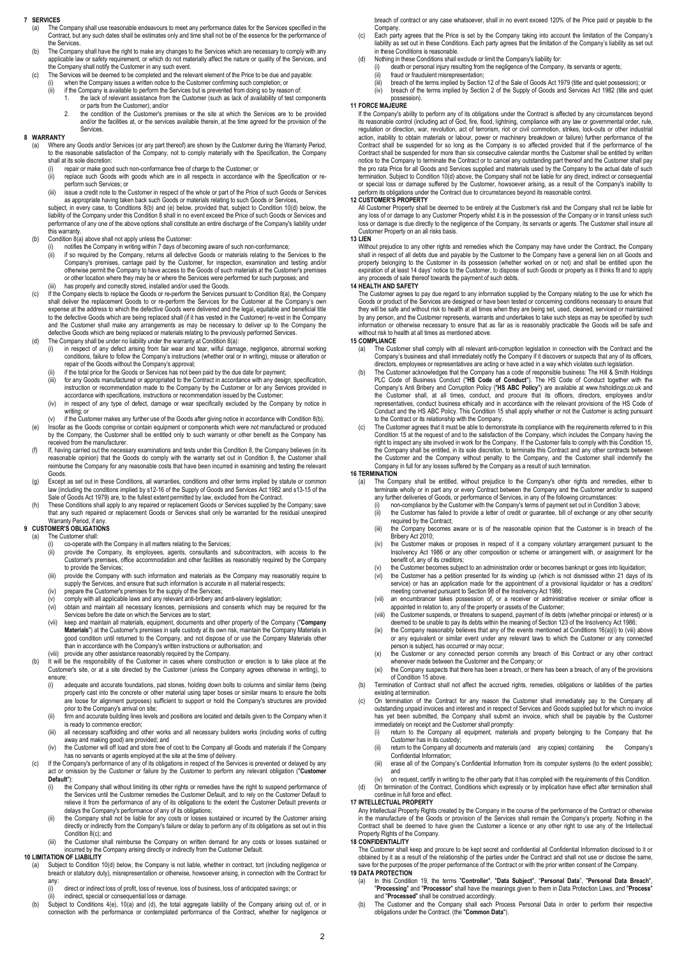#### 7 SERVICES

- (a) The Company shall use reasonable endeavours to meet any performance dates for the Services specified in the<br>Contract, but any such dates shall be estimates only and time shall not be of the essence for the performance the Services.
- (b) The Company shall have the right to make any changes to the Services which are necessary to comply with any applicable law or safety requirement, or which do not materially affect the nature or quality of the Services, and the Company shall notify the Customer in any such event.
- (c) The Services will be deemed to be completed and the relevant element of the Price to be due and payable:
	- (i) when the Company issues a written notice to the Customer confirming such completion; or<br>(ii) if the Company issues a written notice to the Customer confirming such completion; or<br>(ii) if the Company is available to per if the Company is available to perform the Services but is prevented from doing so by reason of:
		- 1. the lack of relevant assistance from the Customer (such as lack of availability of test components or parts from the Customer); and/or
		- 2. the condition of the Customer's premises or the site at which the Services are to be provided and/or the facilities at, or the services available therein, at the time agreed for the provision of the Services.

#### 8 WARRANTY

- (a) Where any Goods and/or Services (or any part thereof) are shown by the Customer during the Warranty Period, to the reasonable satisfaction of the Company, not to comply materially with the Specification, the Company
	- shall at its sole discretion:<br>(i) repair or make good
	- (i) repair or make good such non-conformance free of charge to the Customer; or<br>(ii) replace such Goods with goods which are in all respects in accordance with the Specification or reperform such Services; or
	- (iii) issue a credit note to the Customer in respect of the whole or part of the Price of such Goods or Services

as appropriate having taken back such Goods or materials relating to such Goods or Services, subject, in every case, to Conditions 8(b) and (e) below, provided that, subject to Condition 10(d) below, the liability of the Company under this Condition 8 shall in no event exceed the Price of such Goods or Services and performance of any one of the above options shall constitute an entire discharge of the Company's liability under this warranty.

- (b) Condition 8(a) above shall not apply unless the Customer:
	- (i) notifies the Company in writing within 7 days of becoming aware of such non-conformance;<br>ii) if so required by the Company, returns all defective Goods or materials relating to the Services to the<br>Company's premises, c
		-
- (iii) has properly and correctly stored, installed and/or used the Goods. (c) If the Company elects to replace the Goods or re-perform the Services pursuant to Condition 8(a), the Company shall deliver the replacement Goods to or re-perform the Services for the Customer at the Company's own expense at the address to which the defective Goods were delivered and the legal, equitable and beneficial title to the defective Goods which are being replaced shall (if it has vested in the Customer) re-vest in the Company and the Customer shall make any arrangements as may be necessary to deliver up to the Company the defective Goods which are being replaced or materials relating to the previously performed Services. (d) The Company shall be under no liability under the warranty at Condition 8(a):
- 
- (i) in respect of any defect arising from fair wear and tear, wilful damage, negligence, abnormal working conditions, failure to follow the Company's instructions (whether oral or in writing), misuse or alteration or repair of the Goods without the Company's approval;
	-
	- (ii) if the total price for the Goods or Services has not been paid by the due date for payment;<br>(iii) for any Goods manufactured or appropriated to the Contract in accordance with any design, specification, instruction or recommendation made to the Company by the Customer or for any Services provided in accordance with specifications, instructions or recommendation issued by the Customer;
	- (iv) in respect of any type of defect, damage or wear specifically excluded by the Company by notice in writing; or
- .(v) if the Customer makes any further use of the Goods after giving notice in accordance with Condition 8(b).<br>(e) Insofar as the Goods comprise or contain equipment or components which were not manufactured or produced<br>by
- *circle ceived from the manufacturer.* (f) If, having carried out the necessary examinations and tests under this Condition 8, the Company believes (in its reasonable opinion) that the Goods do comply with the warranty set out in Condition 8, the Customer shall reimburse the Company for any reasonable costs that have been incurred in examining and testing the relevant
- Goods. (g) Except as set out in these Conditions, all warranties, conditions and other terms implied by statute or common law (including the conditions implied by s12-16 of the Supply of Goods and Services Act 1982 and s13-15 of the<br>Sale of Goods Act 1979) are, to the fullest extent permitted by law, excluded from the Contract.
- (h) These Conditions shall apply to any repaired or replacement Goods or Services supplied by the Company; save that any such repaired or replacement Goods or Services shall only be warranted for the residual unexpired Warranty Period, if any.

#### 9 CUSTOMER'S OBLIGATIONS

- (a) The Customer shall:
	-
	- (i) co-operate with the Company in all matters relating to the Services; (ii) provide the Company, its employees, agents, consultants and subcontractors, with access to the Customer's premises, office accommodation and other facilities as reasonably required by the Company to provide the Services;
	- (iii) provide the Company with such information and materials as the Company may reasonably require to supply the Services, and ensure that such information is accurate in all material respects;
	- (iv) prepare the Customer's premises for the supply of the Services;<br>(v) comply with all applicable laws and any relevant anti-bribery and
	- $(v)$  comply with all applicable laws and any relevant anti-bribery and anti-slavery legislation;<br>(vi) obtain and maintain all necessary licences, permissions and consents which may b (vi) obtain and maintain all necessary licences, permissions and consents which may be required for the
	- Services before the date on which the Services are to start; (vii) keep and maintain all materials, equipment, documents and other property of the Company ("Company") **Materials**") at the Customer's premises in safe custody at its own risk, maintain the Company Materials in<br>good condition until returned to the Company, and not dispose of or use the Company Materials other
	-
	-
- than in accordance with the Company's written instructions or authorisation; and<br>(iii) provide any other assistance reasonably required by the Company.<br>(b) It will be the responsibility of the Customer in cases where const Customer's site, or at a site directed by the Customer (unless the Company agrees otherwise in writing), to
	- ensure:<br>(i) -.<br>adequate and accurate foundations, pad stones, holding down bolts to columns and similar items (being properly cast into the concrete or other material using taper boses or similar means to ensure the bolts are loose for alignment purposes) sufficient to support or hold the Company's structures are provided prior to the Company's arrival on site;
	- (ii) firm and accurate building lines levels and positions are located and details given to the Company when it is ready to commence erection;
	- (iii) all necessary scaffolding and other works and all necessary builders works (including works of cutting away and making good) are provided; and
	- (iv) the Customer will off load and store free of cost to the Company all Goods and materials if the Company has no servants or agents employed at the site at the time of delivery.
- (c) If the Company's performance of any of its obligations in respect of the Services is prevented or delayed by any act or omission by the Customer or failure by the Customer to perform any relevant obligation ("Customer for perform any relevant obligation") Default"):<br>(i) the
	- (i) the Company shall without limiting its other rights or remedies have the right to suspend performance of the Services until the Customer remedies the Customer Default, and to rely on the Customer Default to relieve it from the performance of any of its obligations to the extent the Customer Default prevents or delays the Company's performance of any of its obligations;
	- (ii) the Company shall not be liable for any costs or losses sustained or incurred by the Customer arising directly or indirectly from the Company's failure or delay to perform any of its obligations as set out in this Condition 8(c); and
	- (iii) the Customer shall reimburse the Company on written demand for any costs or losses susta incurred by the Company arising directly or indirectly from the Customer Default.
- 10 LIMITATION OF LIABILITY
	- (a) Subject to Condition 10(d) below, the Company is not liable, whether in contract, tort (including negligence or breach or statutory duty), misrepresentation or otherwise, howsoever arising, in connection with the Contract for any:
		- (i) direct or indirect loss of profit, loss of revenue, loss of business, loss of anticipated savings; or
	- ii) indirect, special or consequential loss or damage.<br>(b) Subject to Conditions 4(e), 10(a) and (d), the total aggregate liability of the Company arising out of, or in<br>connection with the performance or contemplated perfo

breach of contract or any case whatsoever, shall in no event exceed 120% of the Price paid or payable to the **Company** 

- (c) Each party agrees that the Price is set by the Company taking into account the limitation of the Company's liability as set out in these Conditions. Each party agrees that the limitation of the Company's liability as set out in these Conditions is reasonable.
- In these Conditions shall exclude or limit the Company's liability for:<br>(d) Nothing in these Conditions shall exclude or limit the Company's liability for:<br>(i) death or personal injury resulting from the negligence of the (i) death or personal injury resulting from the negligence of the Company, its servants or agents;<br>(ii) fraud or fraudulent misrepresentation:
	-
	- (ii) fraud or fraudulent misrepresentation;<br>(iii) breach of the terms implied by Section 12 of the Sale of Goods Act 1979 (title and quiet possession); or<br>(iv) breach of the terms implied by Section 2 of the Supply of Good
	- possession).

# posses<br>11 FORCE MAJEURE

If the Company's ability to perform any of its obligations under the Contract is affected by any circumstances beyond<br>its reasonable control (including act of God, fire, flood, lightning, compliance with any law or governm regulation or direction, war, revolution, act of terrorism, riot or civil commotion, strikes, lock-outs or other industrial<br>action, inability to obtain materials or labour, power or machinery breakdown or failure) further Contract shall be suspended for so long as the Company is so affected provided that if the performance of the<br>Contract shall be suspended for more than six consecutive calendar months the Customer shall be entitled by writ notice to the Company to terminate the Contract or to cancel any outstanding part thereof and the Customer shall pay<br>the pro rata Price for all Goods and Services supplied and materials used by the Company to the actual da

#### 12 CUSTOMER'S PROPERTY

All Customer Property shall be deemed to be entirely at the Customer's risk and the Company shall not be liable for any loss of or damage to any Customer Property whilst it is in the possession of the Company or in transit unless such<br>loss or damage is due directly to the negligence of the Company, its servants or agents. The Customer s

#### 13 LIEN

Without prejudice to any other rights and remedies which the Company may have under the Contract, the Company shall in respect of all debts due and payable by the Customer to the Company have a general lien on all Goods and property belonging to the Customer in its possession (whether worked on or not) and shall be entitled upon the expiration of at least 14 days' notice to the Customer, to dispose of such Goods or property as it thinks fit and to apply any proceeds of sale thereof towards the payment of such debts.

#### 14 HEALTH AND SAFFTY

The Customer agrees to pay due regard to any information supplied by the Company relating to the use for which the Goods or product of the Services are designed or have been tested or concerning conditions necessary to ensure that<br>they will be safe and without risk to health at all times when they are being set, used, cleaned, serviced by any person, and the Customer represents, warrants and undertakes to take such steps as may be specified by such person, and are sected the procedure, including and antestance to any capital computer of the Goods will be safetion or otherwise necessary to ensure that as far as is reasonably practicable the Goods will be safe without risk to health at all times as mentioned above.

#### 15 COMPLIANCE

- (a) The Customer shall comply with all relevant anti-corruption legislation in connection with the Contract and the Company's business and shall immediately notify the Company if it discovers or suspects that any of its officers, directors, employees or representatives are acting or have acted in a way which violates such legislation.
- (b) The Customer acknowledges that the Company has a code of responsible business: The Hill & Smith Holdings PLC Code of Business Conduct ("HS Code of Conduct"). The HS Code of Conduct together with the Company's Anti Bribery and Corruption Policy ("HS ABC Policy") are available at www.hsholdings.co.uk and<br>the Customer shall, at all times, conduct, and procure that its officers, directors, employees and/or<br>representatives Conduct and the HS ABC Policy. This Condition 15 shall apply whether or not the Customer is acting pursuant
- to the Contract or its relationship with the Company.<br>
(c) The Customer agrees that it must be able to demonstrate its compliance with the requirements referred to in this<br>
Condition 15 at the request of and to the satisfa the Customer and the Company without penalty to the Company, and the Customer shall indemnify the Company in full for any losses suffered by the Company as a result of such termination.

#### 16 TERMINATION

- The Company shall be entitled, without prejudice to the Company's other rights and remedies, either to terminate wholly or in part any or every Contract between the Company and the Customer and/or to suspend any further deliveries of Goods, or performance of Services, in any of the following circumstances:
	-
	- (i) non-compliance by the Customer with the Company's terms of payment set out in Condition 3 above;<br>(ii) the Customer has failed to provide a letter of credit or guarantee, bill of exchange or any other security<br>required
	- (iii) the Company becomes aware or is of the reasonable opinion that the Customer is in breach of the Bribery Act 2010;
	- (iv) the Customer makes or proposes in respect of it a company voluntary arrangement pursuant to the Insolvency Act 1986 or any other composition or scheme or arrangement with, or assignment for the benefit of, any of its creditors;
	- (v) the Customer becomes subject to an administration order or becomes bankrupt or goes into liquidation;<br>(vi) the Customer besca netition presented for its winding up (which is not dismissed within 21 days of
	- (vi) the Customer has a petition presented for its winding up (which is not dismissed within 21 days of its service) or has an application made for the appointment of a provisional liquidator or has a creditors' meeting convened pursuant to Section 98 of the Insolvency Act 1986;
	- (vii) an encumbrancer takes possession of, or a receiver or administrative receiver or similar officer is appointed in relation to, any of the property or assets of the Customer;
	- (viii) the Customer suspends, or threatens to suspend, payment of its debts (whether principal or interest) or is deemed to be unable to pay its debts within the meaning of Section 123 of the Insolvency Act 1986;
	- (ix) the Company reasonably believes that any of the events mentioned at Conditions 16(a)(i) to (viii) above or any equivalent or similar event under any relevant laws to which the Customer or any connected
	- person is subject, has occurred or may occur;<br>
	(x) the Customer or any connected person commits any breach of this Contract or any other contract
	- whenever made between the Customer and the Company; or<br>
	(xi) the Company suspects that there has been a breach, or there has been a breach, of any of the provisions of Condition 15 above.
- (b) Termination of Contract shall not affect the accrued rights, remedies, obligations or liabilities of the parties existing at termination.
- (c) On termination of the Contract for any reason the Customer shall immediately pay to the Company all outstanding unpaid invoices and interest and in respect of Services and Goods supplied but for which no invoice
	- has yet been submitted, the Company shall submit an invoice, which shall be payable by the Customer<br>immediately on receipt and the Customer shall promptly:<br>(i) return to the Company all equipment, materials and property be
	- (ii) return to the Company all documents and materials (and any copies) containing the Company's Confidential Information;
	- (iii) erase all of the Company's Confidential Information from its computer systems (to the extent possible); and

(iv) on request, certify in writing to the other party that it has complied with the requirements of this Condition. (d) On termination of the Contract, Conditions which expressly or by implication have effect after termination shall continue in full force and effect.

#### 17 INTELLECTUAL PROPERTY

Any Intellectual Property Rights created by the Company in the course of the performance of the Contract or otherwise<br>in the manufacture of the Goods or provision of the Services shall remain the Company's property. Nothin Property Rights of the Company.

# 18 CONFIDENTIALITY

The Customer shall keep and procure to be kept secret and confidential all Confidential Information disclosed to it or obtained by it as a result of the relationship of the parties under the Contract and shall not use or disclose the same,<br>save for the purposes of the proper performance of the Contract or with the prior written consent of 19 DATA PROTECTION

- (a) In this Condition 19, the terms "Controller", "Data Subject", "Personal Data", "Personal Data Breach"
- "Processing" and "Processor" shall have the meanings given to them in Data Protection Laws, and "Process"<br>and "Processed" shall be construed accordingly.<br>(b) The Customer and the Company shall each Process Personal Data in